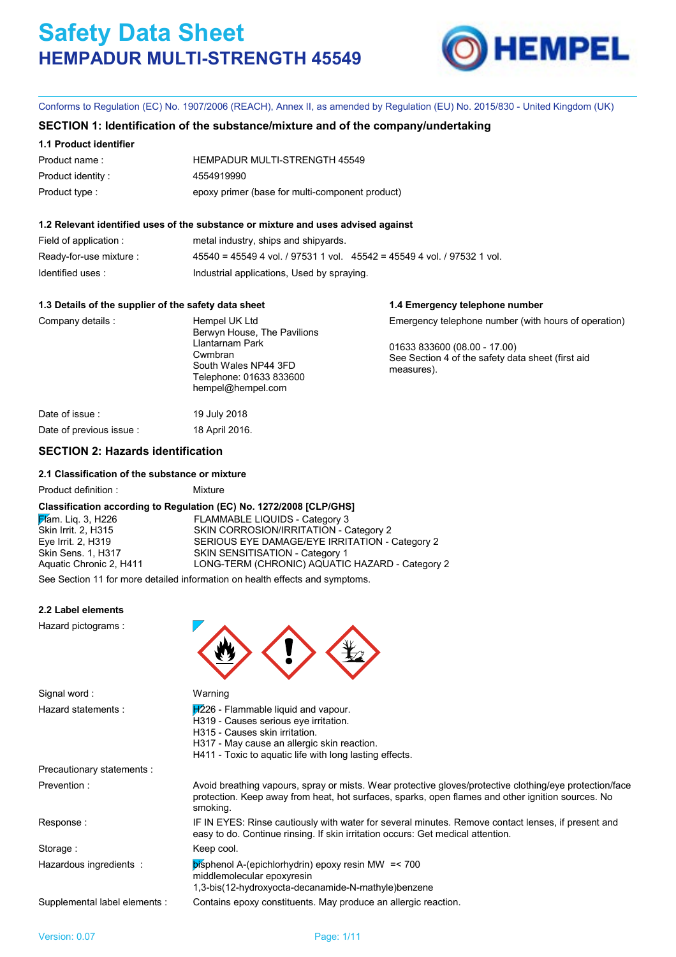

**1.4 Emergency telephone number**

Conforms to Regulation (EC) No. 1907/2006 (REACH), Annex II, as amended by Regulation (EU) No. 2015/830 - United Kingdom (UK)

## **SECTION 1: Identification of the substance/mixture and of the company/undertaking**

#### **1.1 Product identifier**

| Product name:     | HEMPADUR MULTI-STRENGTH 45549                   |
|-------------------|-------------------------------------------------|
| Product identity: | 4554919990                                      |
| Product type :    | epoxy primer (base for multi-component product) |

#### **1.2 Relevant identified uses of the substance or mixture and uses advised against**

| Field of application :  | metal industry, ships and shipyards.                                        |
|-------------------------|-----------------------------------------------------------------------------|
| Ready-for-use mixture : | $45540 = 45549$ 4 vol. / 97531 1 vol. $45542 = 45549$ 4 vol. / 97532 1 vol. |
| Identified uses :       | Industrial applications, Used by spraying.                                  |

#### **1.3 Details of the supplier of the safety data sheet**

| Company details          | Hempel UK Ltd<br>Berwyn House, The Pavilions<br>Llantarnam Park<br>Cwmbran<br>South Wales NP44 3FD<br>Telephone: 01633 833600<br>hempel@hempel.com | Emergency telephone number (with hours of operation)<br>01633 833600 (08.00 - 17.00)<br>See Section 4 of the safety data sheet (first aid<br>measures). |
|--------------------------|----------------------------------------------------------------------------------------------------------------------------------------------------|---------------------------------------------------------------------------------------------------------------------------------------------------------|
| Date of issue :          | 19 July 2018                                                                                                                                       |                                                                                                                                                         |
| Date of previous issue : | 18 April 2016.                                                                                                                                     |                                                                                                                                                         |

# **SECTION 2: Hazards identification**

#### **2.1 Classification of the substance or mixture**

| Product definition : |  |
|----------------------|--|

#### **Classification according to Regulation (EC) No. 1272/2008 [CLP/GHS]**

Mixture

Flam. Liq. 3, H226 FLAMMABLE LIQUIDS - Category 3 Skin Irrit. 2, H315 SKIN CORROSION/IRRITATION - Category 2 Eye Irrit. 2, H319 SERIOUS EYE DAMAGE/EYE IRRITATION - Category 2 Skin Sens. 1, H317 SKIN SENSITISATION - Category 1<br>
Aquatic Chronic 2, H411 LONG-TERM (CHRONIC) AQUATIC LONG-TERM (CHRONIC) AQUATIC HAZARD - Category 2

See Section 11 for more detailed information on health effects and symptoms.

#### **2.2 Label elements**

Hazard pictograms :



| Signal word:                  | Warning                                                                                                                                                                                                                    |
|-------------------------------|----------------------------------------------------------------------------------------------------------------------------------------------------------------------------------------------------------------------------|
| Hazard statements:            | $H226$ - Flammable liquid and vapour.<br>H319 - Causes serious eye irritation.<br>H315 - Causes skin irritation.<br>H317 - May cause an allergic skin reaction.<br>H411 - Toxic to aguatic life with long lasting effects. |
| Precautionary statements :    |                                                                                                                                                                                                                            |
| Prevention:                   | Avoid breathing vapours, spray or mists. Wear protective gloves/protective clothing/eye protection/face<br>protection. Keep away from heat, hot surfaces, sparks, open flames and other ignition sources. No<br>smoking.   |
| Response:                     | IF IN EYES: Rinse cautiously with water for several minutes. Remove contact lenses, if present and<br>easy to do. Continue rinsing. If skin irritation occurs: Get medical attention.                                      |
| Storage:                      | Keep cool.                                                                                                                                                                                                                 |
| Hazardous ingredients :       | $\mathbf{b}$ isphenol A-(epichlorhydrin) epoxy resin MW = < 700<br>middlemolecular epoxyresin<br>1,3-bis(12-hydroxyocta-decanamide-N-mathyle)benzene                                                                       |
| Supplemental label elements : | Contains epoxy constituents. May produce an allergic reaction.                                                                                                                                                             |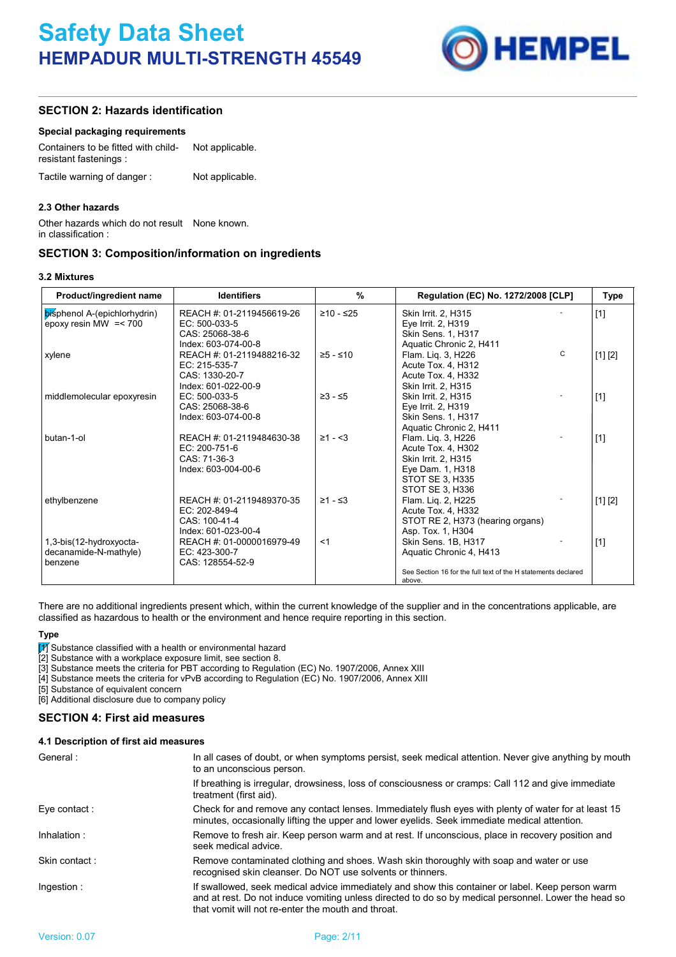

# **SECTION 2: Hazards identification**

#### **Special packaging requirements**

| Containers to be fitted with child-<br>resistant fastenings: | Not applicable. |  |
|--------------------------------------------------------------|-----------------|--|
| Tactile warning of danger:                                   | Not applicable. |  |

#### **2.3 Other hazards**

Other hazards which do not result None known. in classification :

# **SECTION 3: Composition/information on ingredients**

| Product/ingredient name                                 | <b>Identifiers</b>                                            | %                 | Regulation (EC) No. 1272/2008 [CLP]                                    | <b>Type</b> |
|---------------------------------------------------------|---------------------------------------------------------------|-------------------|------------------------------------------------------------------------|-------------|
| bisphenol A-(epichlorhydrin)<br>epoxy resin MW $=< 700$ | REACH #: 01-2119456619-26<br>EC: 500-033-5<br>CAS: 25068-38-6 | $≥10 - ≤25$       | Skin Irrit. 2, H315<br>Eye Irrit. 2, H319<br><b>Skin Sens. 1, H317</b> | $[1]$       |
|                                                         | Index: 603-074-00-8                                           |                   | Aquatic Chronic 2, H411                                                |             |
| xylene                                                  | REACH #: 01-2119488216-32                                     | $≥5 - ≤10$        | $\mathsf{C}$<br>Flam. Lig. 3, H226                                     | [1] [2]     |
|                                                         | EC: 215-535-7                                                 |                   | Acute Tox. 4, H312                                                     |             |
|                                                         | CAS: 1330-20-7                                                |                   | Acute Tox. 4. H332                                                     |             |
|                                                         | Index: 601-022-00-9                                           |                   | Skin Irrit. 2. H315                                                    |             |
| middlemolecular epoxyresin                              | EC: 500-033-5                                                 | $≥3 - ≤5$         | Skin Irrit. 2, H315                                                    | $[1]$       |
|                                                         | CAS: 25068-38-6                                               |                   | Eye Irrit. 2, H319                                                     |             |
|                                                         | Index: 603-074-00-8                                           |                   | Skin Sens. 1, H317                                                     |             |
| butan-1-ol                                              | REACH #: 01-2119484630-38                                     | $\geq 1 - \leq 3$ | Aquatic Chronic 2, H411                                                |             |
|                                                         | $EC: 200-751-6$                                               |                   | Flam. Lig. 3, H226<br>Acute Tox. 4, H302                               | $[1]$       |
|                                                         | CAS: 71-36-3                                                  |                   | Skin Irrit. 2, H315                                                    |             |
|                                                         | Index: 603-004-00-6                                           |                   | Eye Dam. 1, H318                                                       |             |
|                                                         |                                                               |                   | STOT SE 3. H335                                                        |             |
|                                                         |                                                               |                   | STOT SE 3, H336                                                        |             |
| ethylbenzene                                            | REACH #: 01-2119489370-35                                     | $≥1 - ≤3$         | Flam. Lig. 2, H225                                                     | [1] [2]     |
|                                                         | EC: 202-849-4                                                 |                   | Acute Tox. 4, H332                                                     |             |
|                                                         | CAS: 100-41-4                                                 |                   | STOT RE 2, H373 (hearing organs)                                       |             |
|                                                         | Index: 601-023-00-4                                           |                   | Asp. Tox. 1, H304                                                      |             |
| 1,3-bis(12-hydroxyocta-                                 | REACH #: 01-0000016979-49                                     | $<$ 1             | Skin Sens. 1B, H317                                                    | $[1]$       |
| decanamide-N-mathyle)                                   | EC: 423-300-7                                                 |                   | Aquatic Chronic 4, H413                                                |             |
| benzene                                                 | CAS: 128554-52-9                                              |                   | See Section 16 for the full text of the H statements declared          |             |
|                                                         |                                                               |                   | above.                                                                 |             |

There are no additional ingredients present which, within the current knowledge of the supplier and in the concentrations applicable, are classified as hazardous to health or the environment and hence require reporting in this section.

#### **Type**

[1] Substance classified with a health or environmental hazard

[2] Substance with a workplace exposure limit, see section 8.

[3] Substance meets the criteria for PBT according to Regulation (EC) No. 1907/2006, Annex XIII

[4] Substance meets the criteria for vPvB according to Regulation (EC) No. 1907/2006, Annex XIII

[5] Substance of equivalent concern

[6] Additional disclosure due to company policy

**SECTION 4: First aid measures**

#### **4.1 Description of first aid measures**

| General:      | In all cases of doubt, or when symptoms persist, seek medical attention. Never give anything by mouth<br>to an unconscious person.                                                                                                                             |
|---------------|----------------------------------------------------------------------------------------------------------------------------------------------------------------------------------------------------------------------------------------------------------------|
|               | If breathing is irregular, drowsiness, loss of consciousness or cramps: Call 112 and give immediate<br>treatment (first aid).                                                                                                                                  |
| Eye contact:  | Check for and remove any contact lenses. Immediately flush eyes with plenty of water for at least 15<br>minutes, occasionally lifting the upper and lower eyelids. Seek immediate medical attention.                                                           |
| Inhalation:   | Remove to fresh air. Keep person warm and at rest. If unconscious, place in recovery position and<br>seek medical advice.                                                                                                                                      |
| Skin contact: | Remove contaminated clothing and shoes. Wash skin thoroughly with soap and water or use<br>recognised skin cleanser. Do NOT use solvents or thinners.                                                                                                          |
| Ingestion:    | If swallowed, seek medical advice immediately and show this container or label. Keep person warm<br>and at rest. Do not induce vomiting unless directed to do so by medical personnel. Lower the head so<br>that vomit will not re-enter the mouth and throat. |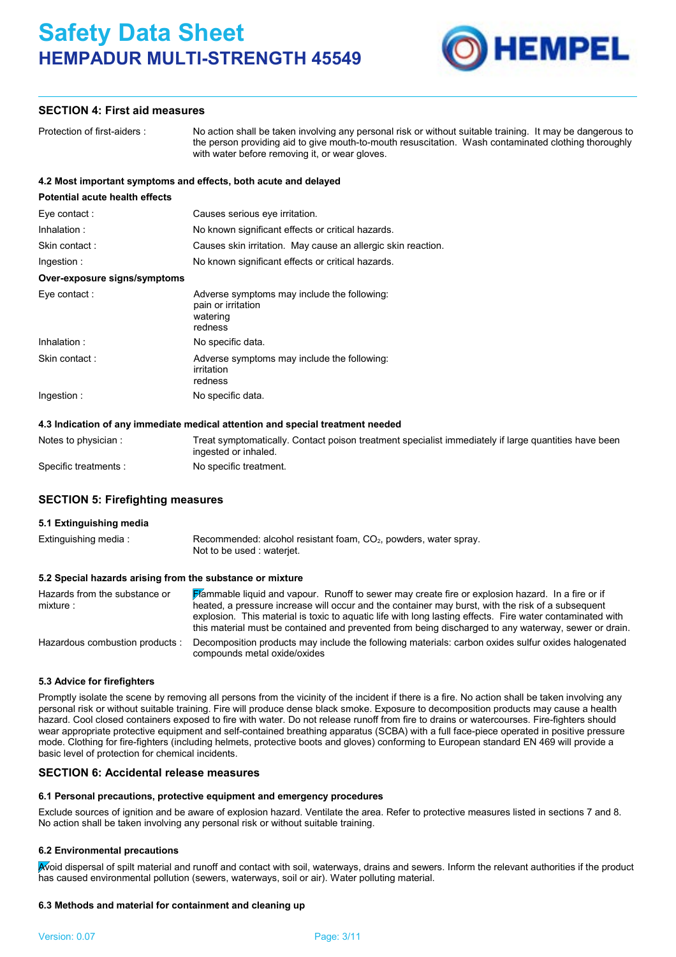

# **SECTION 4: First aid measures**

| Protection of first-aiders:    | No action shall be taken involving any personal risk or without suitable training. It may be dangerous to<br>the person providing aid to give mouth-to-mouth resuscitation. Wash contaminated clothing thoroughly<br>with water before removing it, or wear gloves. |
|--------------------------------|---------------------------------------------------------------------------------------------------------------------------------------------------------------------------------------------------------------------------------------------------------------------|
|                                | 4.2 Most important symptoms and effects, both acute and delayed                                                                                                                                                                                                     |
| Potential acute health effects |                                                                                                                                                                                                                                                                     |
| Eye contact:                   | Causes serious eye irritation.                                                                                                                                                                                                                                      |
| Inhalation:                    | No known significant effects or critical hazards.                                                                                                                                                                                                                   |
| Skin contact:                  | Causes skin irritation. May cause an allergic skin reaction.                                                                                                                                                                                                        |
| Ingestion:                     | No known significant effects or critical hazards.                                                                                                                                                                                                                   |
| Over-exposure signs/symptoms   |                                                                                                                                                                                                                                                                     |
| Eye contact :                  | Adverse symptoms may include the following:<br>pain or irritation<br>watering<br>redness                                                                                                                                                                            |
| Inhalation:                    | No specific data.                                                                                                                                                                                                                                                   |
| Skin contact:                  | Adverse symptoms may include the following:<br>irritation<br>redness                                                                                                                                                                                                |
| Ingestion:                     | No specific data.                                                                                                                                                                                                                                                   |

| Notes to physician:   | Treat symptomatically. Contact poison treatment specialist immediately if large quantities have been<br>ingested or inhaled. |
|-----------------------|------------------------------------------------------------------------------------------------------------------------------|
| Specific treatments : | No specific treatment.                                                                                                       |

### **SECTION 5: Firefighting measures**

# **5.1 Extinguishing media**

| Extinguishing media: | Recommended: alcohol resistant foam, $CO2$ , powders, water spray. |
|----------------------|--------------------------------------------------------------------|
|                      | Not to be used : waterjet.                                         |

#### **5.2 Special hazards arising from the substance or mixture**

| Hazards from the substance or<br>mixture: | <b>Flammable liquid and vapour.</b> Runoff to sewer may create fire or explosion hazard. In a fire or if<br>heated, a pressure increase will occur and the container may burst, with the risk of a subsequent<br>explosion. This material is toxic to aquatic life with long lasting effects. Fire water contaminated with<br>this material must be contained and prevented from being discharged to any waterway, sewer or drain. |
|-------------------------------------------|------------------------------------------------------------------------------------------------------------------------------------------------------------------------------------------------------------------------------------------------------------------------------------------------------------------------------------------------------------------------------------------------------------------------------------|
| Hazardous combustion products:            | Decomposition products may include the following materials: carbon oxides sulfur oxides halogenated<br>compounds metal oxide/oxides                                                                                                                                                                                                                                                                                                |

#### **5.3 Advice for firefighters**

Promptly isolate the scene by removing all persons from the vicinity of the incident if there is a fire. No action shall be taken involving any personal risk or without suitable training. Fire will produce dense black smoke. Exposure to decomposition products may cause a health hazard. Cool closed containers exposed to fire with water. Do not release runoff from fire to drains or watercourses. Fire-fighters should wear appropriate protective equipment and self-contained breathing apparatus (SCBA) with a full face-piece operated in positive pressure mode. Clothing for fire-fighters (including helmets, protective boots and gloves) conforming to European standard EN 469 will provide a basic level of protection for chemical incidents.

#### **SECTION 6: Accidental release measures**

# **6.1 Personal precautions, protective equipment and emergency procedures**

Exclude sources of ignition and be aware of explosion hazard. Ventilate the area. Refer to protective measures listed in sections 7 and 8. No action shall be taken involving any personal risk or without suitable training.

# **6.2 Environmental precautions**

Avoid dispersal of spilt material and runoff and contact with soil, waterways, drains and sewers. Inform the relevant authorities if the product has caused environmental pollution (sewers, waterways, soil or air). Water polluting material.

# **6.3 Methods and material for containment and cleaning up**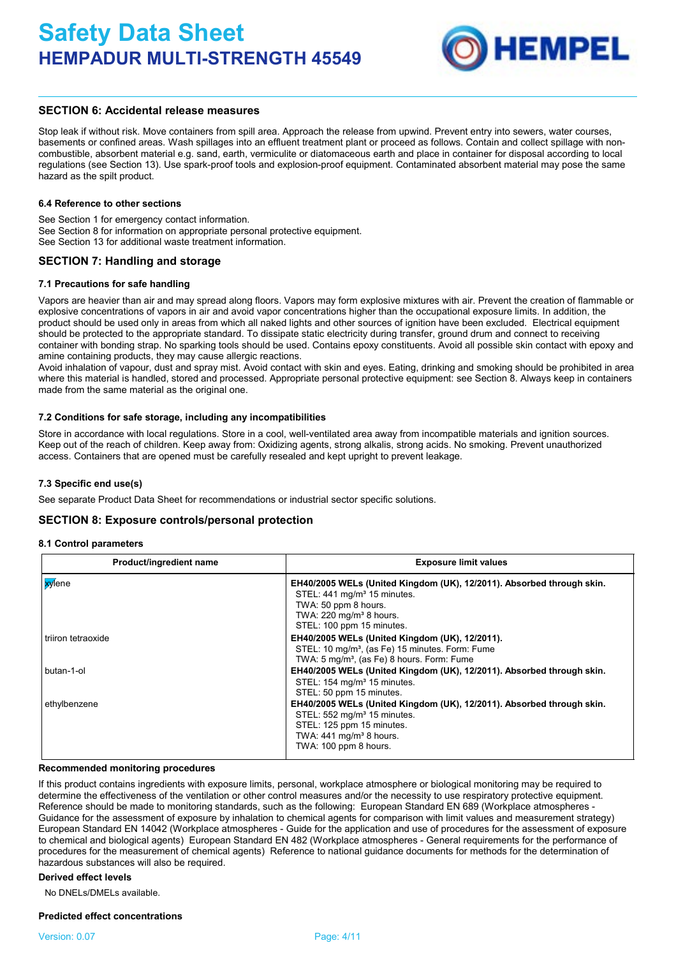

### **SECTION 6: Accidental release measures**

Stop leak if without risk. Move containers from spill area. Approach the release from upwind. Prevent entry into sewers, water courses, basements or confined areas. Wash spillages into an effluent treatment plant or proceed as follows. Contain and collect spillage with noncombustible, absorbent material e.g. sand, earth, vermiculite or diatomaceous earth and place in container for disposal according to local regulations (see Section 13). Use spark-proof tools and explosion-proof equipment. Contaminated absorbent material may pose the same hazard as the spilt product.

#### **6.4 Reference to other sections**

See Section 1 for emergency contact information. See Section 8 for information on appropriate personal protective equipment. See Section 13 for additional waste treatment information.

# **SECTION 7: Handling and storage**

#### **7.1 Precautions for safe handling**

Vapors are heavier than air and may spread along floors. Vapors may form explosive mixtures with air. Prevent the creation of flammable or explosive concentrations of vapors in air and avoid vapor concentrations higher than the occupational exposure limits. In addition, the product should be used only in areas from which all naked lights and other sources of ignition have been excluded. Electrical equipment should be protected to the appropriate standard. To dissipate static electricity during transfer, ground drum and connect to receiving container with bonding strap. No sparking tools should be used. Contains epoxy constituents. Avoid all possible skin contact with epoxy and amine containing products, they may cause allergic reactions.

Avoid inhalation of vapour, dust and spray mist. Avoid contact with skin and eyes. Eating, drinking and smoking should be prohibited in area where this material is handled, stored and processed. Appropriate personal protective equipment: see Section 8. Always keep in containers made from the same material as the original one.

#### **7.2 Conditions for safe storage, including any incompatibilities**

Store in accordance with local regulations. Store in a cool, well-ventilated area away from incompatible materials and ignition sources. Keep out of the reach of children. Keep away from: Oxidizing agents, strong alkalis, strong acids. No smoking. Prevent unauthorized access. Containers that are opened must be carefully resealed and kept upright to prevent leakage.

#### **7.3 Specific end use(s)**

See separate Product Data Sheet for recommendations or industrial sector specific solutions.

#### **SECTION 8: Exposure controls/personal protection**

#### **8.1 Control parameters**

| Product/ingredient name | <b>Exposure limit values</b>                                                                                                                                                                                    |
|-------------------------|-----------------------------------------------------------------------------------------------------------------------------------------------------------------------------------------------------------------|
| <b>xy</b> lene          | EH40/2005 WELs (United Kingdom (UK), 12/2011). Absorbed through skin.<br>STEL: 441 mg/m <sup>3</sup> 15 minutes.<br>TWA: 50 ppm 8 hours.<br>TWA: 220 mg/m <sup>3</sup> 8 hours.<br>STEL: 100 ppm 15 minutes.    |
| triiron tetraoxide      | EH40/2005 WELs (United Kingdom (UK), 12/2011).<br>STEL: 10 mg/m <sup>3</sup> , (as Fe) 15 minutes. Form: Fume<br>TWA: 5 mg/m <sup>3</sup> , (as Fe) 8 hours. Form: Fume                                         |
| butan-1-ol              | EH40/2005 WELs (United Kingdom (UK), 12/2011). Absorbed through skin.<br>STEL: 154 mg/m <sup>3</sup> 15 minutes.<br>STEL: 50 ppm 15 minutes.                                                                    |
| ethylbenzene            | EH40/2005 WELs (United Kingdom (UK), 12/2011). Absorbed through skin.<br>STEL: 552 mg/m <sup>3</sup> 15 minutes.<br>STEL: 125 ppm 15 minutes.<br>TWA: $441$ mg/m <sup>3</sup> 8 hours.<br>TWA: 100 ppm 8 hours. |

#### **Recommended monitoring procedures**

If this product contains ingredients with exposure limits, personal, workplace atmosphere or biological monitoring may be required to determine the effectiveness of the ventilation or other control measures and/or the necessity to use respiratory protective equipment. Reference should be made to monitoring standards, such as the following: European Standard EN 689 (Workplace atmospheres - Guidance for the assessment of exposure by inhalation to chemical agents for comparison with limit values and measurement strategy) European Standard EN 14042 (Workplace atmospheres - Guide for the application and use of procedures for the assessment of exposure to chemical and biological agents) European Standard EN 482 (Workplace atmospheres - General requirements for the performance of procedures for the measurement of chemical agents) Reference to national guidance documents for methods for the determination of hazardous substances will also be required.

#### **Derived effect levels**

No DNELs/DMELs available.

#### **Predicted effect concentrations**

#### Version: 0.07 Page: 4/11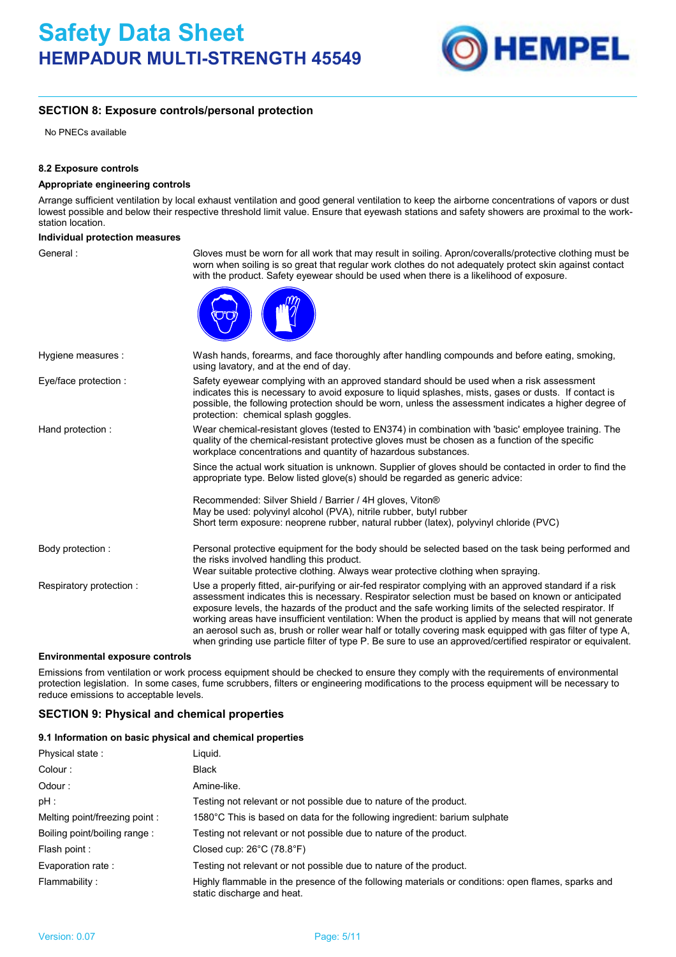

# **SECTION 8: Exposure controls/personal protection**

No PNECs available

#### **8.2 Exposure controls**

#### **Appropriate engineering controls**

Arrange sufficient ventilation by local exhaust ventilation and good general ventilation to keep the airborne concentrations of vapors or dust lowest possible and below their respective threshold limit value. Ensure that eyewash stations and safety showers are proximal to the workstation location.

#### **Individual protection measures**

General : Gloves must be worn for all work that may result in soiling. Apron/coveralls/protective clothing must be worn when soiling is so great that regular work clothes do not adequately protect skin against contact with the product. Safety eyewear should be used when there is a likelihood of exposure.



| Hygiene measures :      | Wash hands, forearms, and face thoroughly after handling compounds and before eating, smoking,<br>using lavatory, and at the end of day.                                                                                                                                                                                                                                                                                                                                                                                                                                                                                                                          |  |
|-------------------------|-------------------------------------------------------------------------------------------------------------------------------------------------------------------------------------------------------------------------------------------------------------------------------------------------------------------------------------------------------------------------------------------------------------------------------------------------------------------------------------------------------------------------------------------------------------------------------------------------------------------------------------------------------------------|--|
| Eye/face protection :   | Safety eyewear complying with an approved standard should be used when a risk assessment<br>indicates this is necessary to avoid exposure to liquid splashes, mists, gases or dusts. If contact is<br>possible, the following protection should be worn, unless the assessment indicates a higher degree of<br>protection: chemical splash goggles.                                                                                                                                                                                                                                                                                                               |  |
| Hand protection:        | Wear chemical-resistant gloves (tested to EN374) in combination with 'basic' employee training. The<br>quality of the chemical-resistant protective gloves must be chosen as a function of the specific<br>workplace concentrations and quantity of hazardous substances.                                                                                                                                                                                                                                                                                                                                                                                         |  |
|                         | Since the actual work situation is unknown. Supplier of gloves should be contacted in order to find the<br>appropriate type. Below listed glove(s) should be regarded as generic advice:                                                                                                                                                                                                                                                                                                                                                                                                                                                                          |  |
|                         | Recommended: Silver Shield / Barrier / 4H gloves, Viton®<br>May be used: polyvinyl alcohol (PVA), nitrile rubber, butyl rubber<br>Short term exposure: neoprene rubber, natural rubber (latex), polyvinyl chloride (PVC)                                                                                                                                                                                                                                                                                                                                                                                                                                          |  |
| Body protection :       | Personal protective equipment for the body should be selected based on the task being performed and<br>the risks involved handling this product.<br>Wear suitable protective clothing. Always wear protective clothing when spraying.                                                                                                                                                                                                                                                                                                                                                                                                                             |  |
| Respiratory protection: | Use a properly fitted, air-purifying or air-fed respirator complying with an approved standard if a risk<br>assessment indicates this is necessary. Respirator selection must be based on known or anticipated<br>exposure levels, the hazards of the product and the safe working limits of the selected respirator. If<br>working areas have insufficient ventilation: When the product is applied by means that will not generate<br>an aerosol such as, brush or roller wear half or totally covering mask equipped with gas filter of type A,<br>when grinding use particle filter of type P. Be sure to use an approved/certified respirator or equivalent. |  |

#### **Environmental exposure controls**

Emissions from ventilation or work process equipment should be checked to ensure they comply with the requirements of environmental protection legislation. In some cases, fume scrubbers, filters or engineering modifications to the process equipment will be necessary to reduce emissions to acceptable levels.

# **SECTION 9: Physical and chemical properties**

#### **9.1 Information on basic physical and chemical properties**

| Physical state:               | Liguid.                                                                                                                          |  |
|-------------------------------|----------------------------------------------------------------------------------------------------------------------------------|--|
| Colour:                       | <b>Black</b>                                                                                                                     |  |
| Odour:                        | Amine-like.                                                                                                                      |  |
| pH :                          | Testing not relevant or not possible due to nature of the product.                                                               |  |
| Melting point/freezing point: | 1580°C This is based on data for the following ingredient: barium sulphate                                                       |  |
| Boiling point/boiling range:  | Testing not relevant or not possible due to nature of the product.                                                               |  |
| Flash point :                 | Closed cup: $26^{\circ}$ C (78.8 $^{\circ}$ F)                                                                                   |  |
| Evaporation rate:             | Testing not relevant or not possible due to nature of the product.                                                               |  |
| Flammability:                 | Highly flammable in the presence of the following materials or conditions: open flames, sparks and<br>static discharge and heat. |  |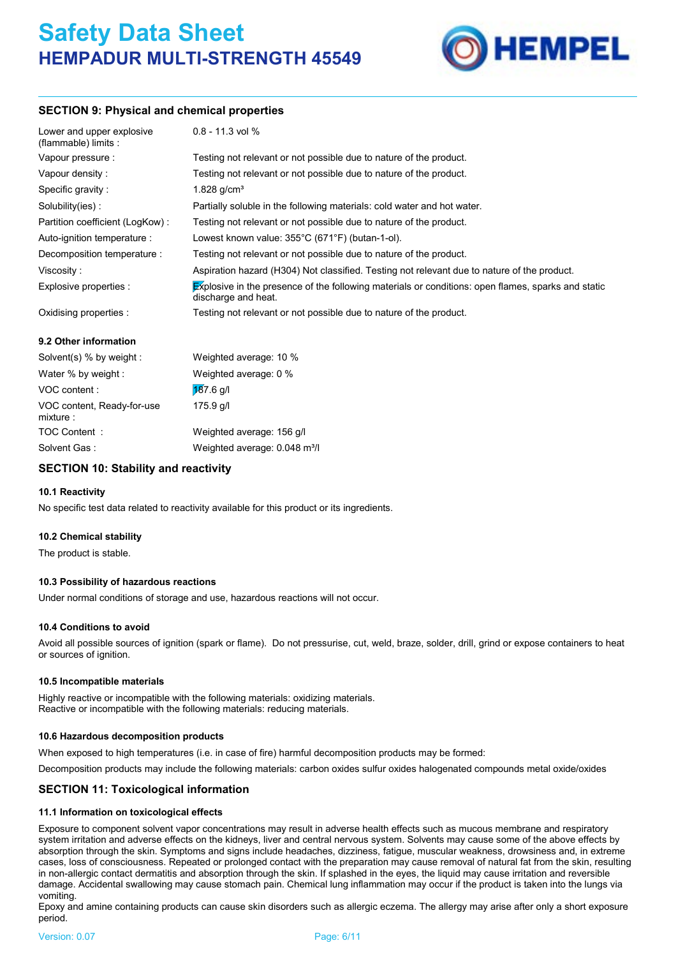

# **SECTION 9: Physical and chemical properties**

| Lower and upper explosive<br>(flammable) limits : | $0.8 - 11.3$ vol %                                                                                                        |
|---------------------------------------------------|---------------------------------------------------------------------------------------------------------------------------|
| Vapour pressure :                                 | Testing not relevant or not possible due to nature of the product.                                                        |
| Vapour density:                                   | Testing not relevant or not possible due to nature of the product.                                                        |
| Specific gravity:                                 | 1.828 $q/cm3$                                                                                                             |
| Solubility(ies):                                  | Partially soluble in the following materials: cold water and hot water.                                                   |
| Partition coefficient (LogKow):                   | Testing not relevant or not possible due to nature of the product.                                                        |
| Auto-ignition temperature :                       | Lowest known value: 355°C (671°F) (butan-1-ol).                                                                           |
| Decomposition temperature :                       | Testing not relevant or not possible due to nature of the product.                                                        |
| Viscosity:                                        | Aspiration hazard (H304) Not classified. Testing not relevant due to nature of the product.                               |
| Explosive properties :                            | Explosive in the presence of the following materials or conditions: open flames, sparks and static<br>discharge and heat. |
| Oxidising properties :                            | Testing not relevant or not possible due to nature of the product.                                                        |
| 9.2 Other information                             |                                                                                                                           |
| Solvent(s) $%$ by weight :                        | Weighted average: 10 %                                                                                                    |

| SOIVERIL(S) % Dy WEIGHT.               | weighted average. To %                    |
|----------------------------------------|-------------------------------------------|
| Water % by weight :                    | Weighted average: 0 %                     |
| VOC content:                           | $187.6$ g/l                               |
| VOC content, Ready-for-use<br>mixture: | $175.9$ g/l                               |
| TOC Content:                           | Weighted average: 156 g/l                 |
| Solvent Gas:                           | Weighted average: 0.048 m <sup>3</sup> /l |
|                                        |                                           |

# **SECTION 10: Stability and reactivity**

#### **10.1 Reactivity**

No specific test data related to reactivity available for this product or its ingredients.

#### **10.2 Chemical stability**

The product is stable.

#### **10.3 Possibility of hazardous reactions**

Under normal conditions of storage and use, hazardous reactions will not occur.

#### **10.4 Conditions to avoid**

Avoid all possible sources of ignition (spark or flame). Do not pressurise, cut, weld, braze, solder, drill, grind or expose containers to heat or sources of ignition.

#### **10.5 Incompatible materials**

Highly reactive or incompatible with the following materials: oxidizing materials. Reactive or incompatible with the following materials: reducing materials.

#### **10.6 Hazardous decomposition products**

When exposed to high temperatures (i.e. in case of fire) harmful decomposition products may be formed:

Decomposition products may include the following materials: carbon oxides sulfur oxides halogenated compounds metal oxide/oxides

# **SECTION 11: Toxicological information**

#### **11.1 Information on toxicological effects**

Exposure to component solvent vapor concentrations may result in adverse health effects such as mucous membrane and respiratory system irritation and adverse effects on the kidneys, liver and central nervous system. Solvents may cause some of the above effects by absorption through the skin. Symptoms and signs include headaches, dizziness, fatigue, muscular weakness, drowsiness and, in extreme cases, loss of consciousness. Repeated or prolonged contact with the preparation may cause removal of natural fat from the skin, resulting in non-allergic contact dermatitis and absorption through the skin. If splashed in the eyes, the liquid may cause irritation and reversible damage. Accidental swallowing may cause stomach pain. Chemical lung inflammation may occur if the product is taken into the lungs via vomiting.

Epoxy and amine containing products can cause skin disorders such as allergic eczema. The allergy may arise after only a short exposure period.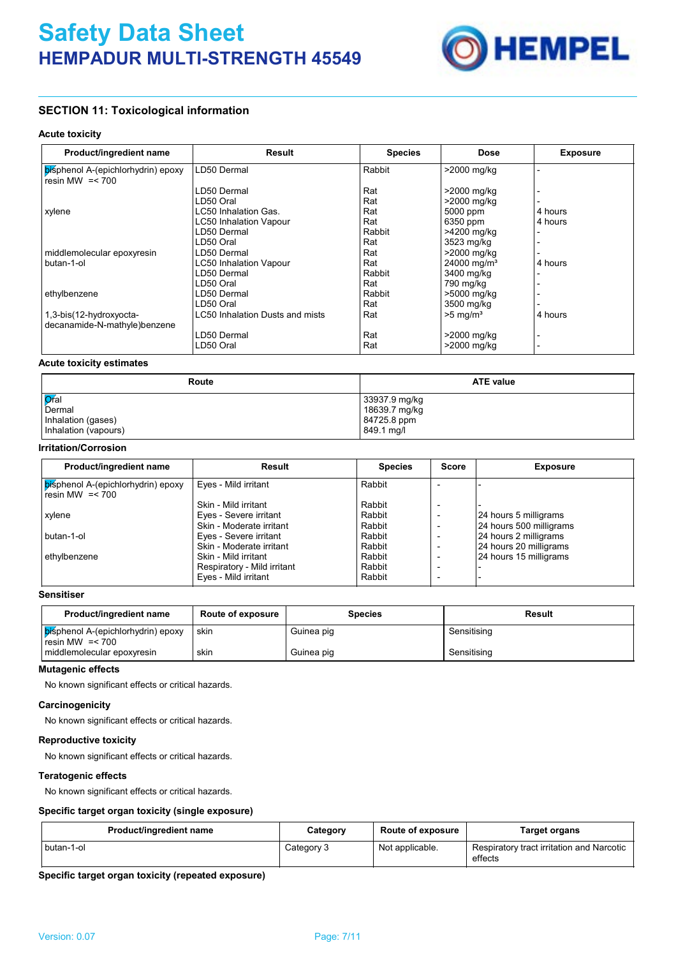

# **SECTION 11: Toxicological information**

#### **Acute toxicity**

| Product/ingredient name                                 | <b>Result</b>                   | <b>Species</b> | Dose                    | <b>Exposure</b> |
|---------------------------------------------------------|---------------------------------|----------------|-------------------------|-----------------|
| bisphenol A-(epichlorhydrin) epoxy<br>resin MW $=< 700$ | LD50 Dermal                     | Rabbit         | >2000 mg/kg             |                 |
|                                                         | LD50 Dermal                     | Rat            | >2000 mg/kg             |                 |
|                                                         | LD50 Oral                       | Rat            | >2000 mg/kg             |                 |
| xylene                                                  | LC50 Inhalation Gas.            | Rat            | 5000 ppm                | 4 hours         |
|                                                         | LC50 Inhalation Vapour          | Rat            | 6350 ppm                | 4 hours         |
|                                                         | LD50 Dermal                     | Rabbit         | >4200 mg/kg             |                 |
|                                                         | LD50 Oral                       | Rat            | 3523 mg/kg              |                 |
| middlemolecular epoxyresin                              | LD50 Dermal                     | Rat            | >2000 mg/kg             |                 |
| butan-1-ol                                              | <b>LC50 Inhalation Vapour</b>   | Rat            | 24000 mg/m <sup>3</sup> | 4 hours         |
|                                                         | LD50 Dermal                     | Rabbit         | 3400 mg/kg              |                 |
|                                                         | LD50 Oral                       | Rat            | 790 mg/kg               |                 |
| ethylbenzene                                            | LD50 Dermal                     | Rabbit         | >5000 mg/kg             |                 |
|                                                         | LD50 Oral                       | Rat            | 3500 mg/kg              |                 |
| 1,3-bis(12-hydroxyocta-                                 | LC50 Inhalation Dusts and mists | Rat            | $>5$ mg/m <sup>3</sup>  | 4 hours         |
| decanamide-N-mathyle)benzene                            |                                 |                |                         |                 |
|                                                         | LD50 Dermal                     | Rat            | >2000 mg/kg             |                 |
|                                                         | LD50 Oral                       | Rat            | >2000 mg/kg             |                 |

#### **Acute toxicity estimates**

| Route                | <b>ATE value</b> |
|----------------------|------------------|
| <b>O</b> fal         | 33937.9 mg/kg    |
| Dermal               | 18639.7 mg/kg    |
| Inhalation (gases)   | 84725.8 ppm      |
| Inhalation (vapours) | 849.1 mg/l       |

### **Irritation/Corrosion**

| Product/ingredient name                                 | Result                      | <b>Species</b> | <b>Score</b> | <b>Exposure</b>         |
|---------------------------------------------------------|-----------------------------|----------------|--------------|-------------------------|
| bisphenol A-(epichlorhydrin) epoxy<br>resin MW $=< 700$ | Eyes - Mild irritant        | Rabbit         |              |                         |
|                                                         | Skin - Mild irritant        | Rabbit         |              |                         |
| xylene                                                  | Eyes - Severe irritant      | Rabbit         |              | 24 hours 5 milligrams   |
|                                                         | Skin - Moderate irritant    | Rabbit         |              | 24 hours 500 milligrams |
| butan-1-ol                                              | Eyes - Severe irritant      | Rabbit         |              | 24 hours 2 milligrams   |
|                                                         | Skin - Moderate irritant    | Rabbit         |              | 24 hours 20 milligrams  |
| ethylbenzene                                            | Skin - Mild irritant        | Rabbit         |              | 24 hours 15 milligrams  |
|                                                         | Respiratory - Mild irritant | Rabbit         |              |                         |
|                                                         | Eyes - Mild irritant        | Rabbit         |              |                         |

# **Sensitiser**

| Product/ingredient name                                 | Route of exposure | <b>Species</b> | Result      |
|---------------------------------------------------------|-------------------|----------------|-------------|
| bisphenol A-(epichlorhydrin) epoxy<br>resin MW $=< 700$ | skin              | Guinea pig     | Sensitising |
| middlemolecular epoxyresin                              | skin              | Guinea pig     | Sensitising |

#### **Mutagenic effects**

No known significant effects or critical hazards.

#### **Carcinogenicity**

No known significant effects or critical hazards.

# **Reproductive toxicity**

No known significant effects or critical hazards.

#### **Teratogenic effects**

No known significant effects or critical hazards.

#### **Specific target organ toxicity (single exposure)**

| Product/ingredient name | Category   | <b>Route of exposure</b> | Target organs                                        |
|-------------------------|------------|--------------------------|------------------------------------------------------|
| butan-1-ol              | Category 3 | Not applicable.          | Respiratory tract irritation and Narcotic<br>effects |

**Specific target organ toxicity (repeated exposure)**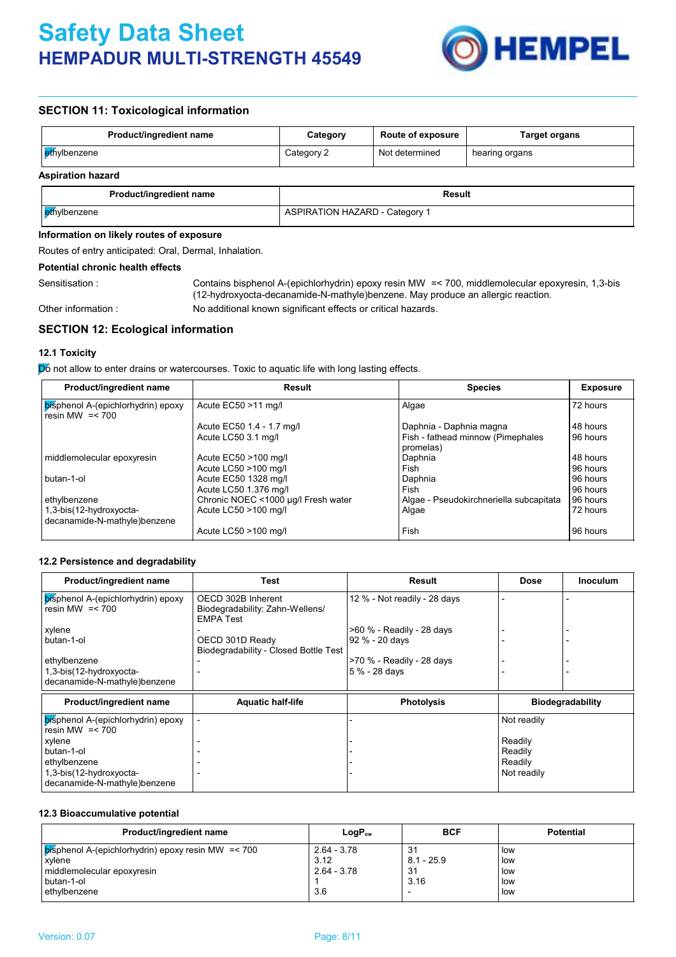

# **SECTION 11: Toxicological information**

| Product/ingredient name  | Category   | <b>Route of exposure</b> | <b>Target organs</b> |
|--------------------------|------------|--------------------------|----------------------|
| ethylbenzene             | Category 2 | Not determined           | hearing organs       |
| <b>Aspiration hazard</b> |            |                          |                      |
|                          |            |                          |                      |

| Product/ingredient name | Result                                |
|-------------------------|---------------------------------------|
| ethylbenzene            | <b>ASPIRATION HAZARD - Category 1</b> |

#### **Information on likely routes of exposure**

Routes of entry anticipated: Oral, Dermal, Inhalation.

#### **Potential chronic health effects**

Other information :

Sensitisation : Contains bisphenol A-(epichlorhydrin) epoxy resin MW = < 700, middlemolecular epoxyresin, 1,3-bis (12-hydroxyocta-decanamide-N-mathyle)benzene. May produce an allergic reaction. No additional known significant effects or critical hazards.

# **SECTION 12: Ecological information**

#### **12.1 Toxicity**

Do not allow to enter drains or watercourses. Toxic to aquatic life with long lasting effects.

| Product/ingredient name                                 | Result                              | <b>Species</b>                                 | <b>Exposure</b> |  |
|---------------------------------------------------------|-------------------------------------|------------------------------------------------|-----------------|--|
| bisphenol A-(epichlorhydrin) epoxy<br>resin MW $=< 700$ | Acute EC50 >11 mg/l                 | Algae                                          | 72 hours        |  |
|                                                         | Acute EC50 1.4 - 1.7 mg/l           | Daphnia - Daphnia magna                        | 48 hours        |  |
|                                                         | Acute LC50 3.1 mg/l                 | Fish - fathead minnow (Pimephales<br>promelas) | 96 hours        |  |
| middlemolecular epoxyresin                              | Acute EC50 >100 mg/l                | Daphnia                                        | 48 hours        |  |
|                                                         | Acute LC50 >100 mg/l                | Fish                                           | 96 hours        |  |
| butan-1-ol                                              | Acute EC50 1328 mg/l                | Daphnia                                        | 96 hours        |  |
|                                                         | Acute LC50 1.376 mg/l               | Fish                                           | 96 hours        |  |
| ethylbenzene                                            | Chronic NOEC <1000 µg/l Fresh water | Algae - Pseudokirchneriella subcapitata        | 96 hours        |  |
| 1,3-bis(12-hydroxyocta-<br>decanamide-N-mathyle)benzene | Acute LC50 >100 mg/l                | Algae                                          | 72 hours        |  |
|                                                         | Acute LC50 >100 mg/l                | Fish                                           | 96 hours        |  |

#### **12.2 Persistence and degradability**

| Product/ingredient name                                 | Test                                                                      | Result                              | Dose        | <b>Inoculum</b>         |
|---------------------------------------------------------|---------------------------------------------------------------------------|-------------------------------------|-------------|-------------------------|
| bisphenol A-(epichlorhydrin) epoxy<br>resin MW $=< 700$ | OECD 302B Inherent<br>Biodegradability: Zahn-Wellens/<br><b>EMPA Test</b> | 12 % - Not readily - 28 days        |             |                         |
| xylene                                                  |                                                                           | >60 % - Readily - 28 days           |             |                         |
| butan-1-ol                                              | OECD 301D Ready<br>Biodegradability - Closed Bottle Test                  | 92 % - 20 days                      |             |                         |
| ethylbenzene                                            |                                                                           | <b>&gt;70 % - Readily - 28 days</b> |             |                         |
| 1,3-bis(12-hydroxyocta-                                 |                                                                           | 5 % - 28 days                       |             |                         |
| decanamide-N-mathyle)benzene                            |                                                                           |                                     |             |                         |
| Product/ingredient name                                 | <b>Aquatic half-life</b>                                                  | <b>Photolysis</b>                   |             | <b>Biodegradability</b> |
| bisphenol A-(epichlorhydrin) epoxy<br>resin MW $=< 700$ |                                                                           |                                     | Not readily |                         |
| xylene                                                  |                                                                           |                                     | Readily     |                         |
| butan-1-ol                                              |                                                                           |                                     | Readily     |                         |
| ethylbenzene                                            |                                                                           |                                     | Readily     |                         |
| 1,3-bis(12-hydroxyocta-                                 |                                                                           |                                     | Not readily |                         |
| decanamide-N-mathyle)benzene                            |                                                                           |                                     |             |                         |

#### **12.3 Bioaccumulative potential**

| Product/ingredient name                                    | $LogP_{ow}$   | <b>BCF</b>               | <b>Potential</b> |
|------------------------------------------------------------|---------------|--------------------------|------------------|
| $\beta$ isphenol A-(epichlorhydrin) epoxy resin MW = < 700 | $2.64 - 3.78$ | -31                      | low              |
| xvlene                                                     | 3.12          | $8.1 - 25.9$             | low              |
| middlemolecular epoxyresin                                 | $2.64 - 3.78$ | 31                       | low              |
| butan-1-ol                                                 |               | 3.16                     | low              |
| ethylbenzene                                               | 3.6           | $\overline{\phantom{0}}$ | low              |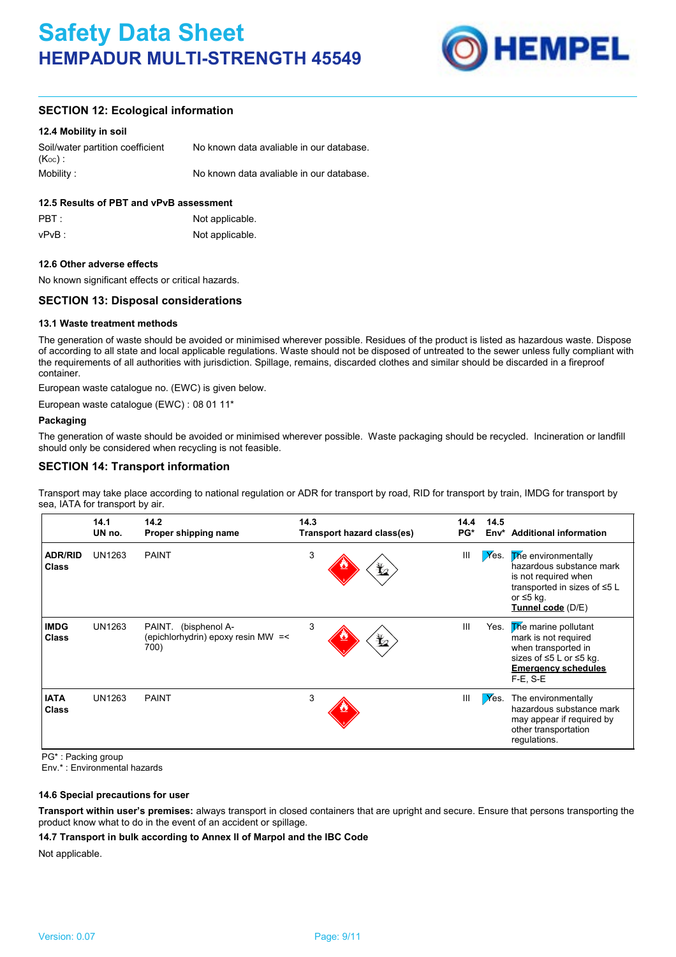

# **SECTION 12: Ecological information**

#### **12.4 Mobility in soil**

| Soil/water partition coefficient<br>$(K_{OC})$ | No known data avaliable in our database. |
|------------------------------------------------|------------------------------------------|
| Mobility :                                     | No known data avaliable in our database. |

### **12.5 Results of PBT and vPvB assessment**

| PBT:  | Not applicable. |
|-------|-----------------|
| vPvB: | Not applicable. |

#### **12.6 Other adverse effects**

No known significant effects or critical hazards.

# **SECTION 13: Disposal considerations**

#### **13.1 Waste treatment methods**

The generation of waste should be avoided or minimised wherever possible. Residues of the product is listed as hazardous waste. Dispose of according to all state and local applicable regulations. Waste should not be disposed of untreated to the sewer unless fully compliant with the requirements of all authorities with jurisdiction. Spillage, remains, discarded clothes and similar should be discarded in a fireproof container.

European waste catalogue no. (EWC) is given below.

European waste catalogue (EWC) : 08 01 11\*

#### **Packaging**

The generation of waste should be avoided or minimised wherever possible. Waste packaging should be recycled. Incineration or landfill should only be considered when recycling is not feasible.

# **SECTION 14: Transport information**

Transport may take place according to national regulation or ADR for transport by road, RID for transport by train, IMDG for transport by sea, IATA for transport by air.

|                                | 14.1<br>UN no. | 14.2<br>Proper shipping name                                       | 14.3<br>Transport hazard class(es) | 14.4<br>$PG*$ | 14.5<br>Env* | <b>Additional information</b>                                                                                                                   |
|--------------------------------|----------------|--------------------------------------------------------------------|------------------------------------|---------------|--------------|-------------------------------------------------------------------------------------------------------------------------------------------------|
| <b>ADR/RID</b><br><b>Class</b> | UN1263         | <b>PAINT</b>                                                       | 3<br>$\bigstar$                    | Ш             | $X$ es.      | The environmentally<br>hazardous substance mark<br>is not required when<br>transported in sizes of ≤5 L<br>or $\leq 5$ kg.<br>Tunnel code (D/E) |
| <b>IMDG</b><br><b>Class</b>    | UN1263         | PAINT. (bisphenol A-<br>(epichlorhydrin) epoxy resin MW =<<br>700) | 3<br>$\bigstar$                    | III           | Yes.         | The marine pollutant<br>mark is not required<br>when transported in<br>sizes of ≤5 L or ≤5 kg.<br><b>Emergency schedules</b><br>$F-E. S-E$      |
| <b>IATA</b><br><b>Class</b>    | UN1263         | <b>PAINT</b>                                                       | 3                                  | III           | $X$ es.      | The environmentally<br>hazardous substance mark<br>may appear if required by<br>other transportation<br>regulations.                            |

PG\* : Packing group

Env.\* : Environmental hazards

#### **14.6 Special precautions for user**

**Transport within user's premises:** always transport in closed containers that are upright and secure. Ensure that persons transporting the product know what to do in the event of an accident or spillage.

#### **14.7 Transport in bulk according to Annex II of Marpol and the IBC Code**

Not applicable.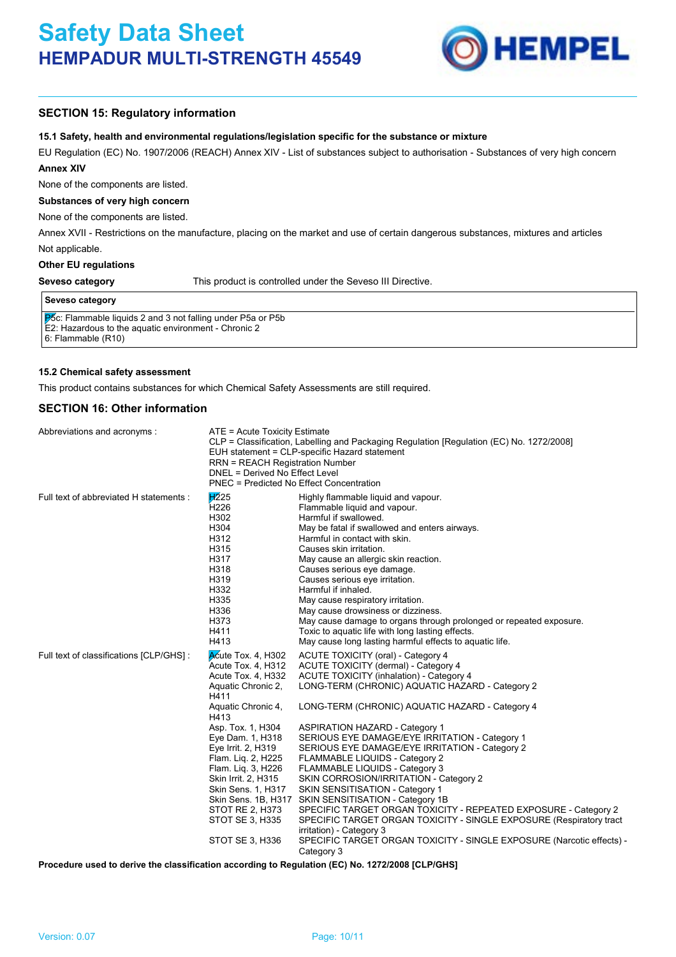

# **SECTION 15: Regulatory information**

#### **15.1 Safety, health and environmental regulations/legislation specific for the substance or mixture**

EU Regulation (EC) No. 1907/2006 (REACH) Annex XIV - List of substances subject to authorisation - Substances of very high concern **Annex XIV**

None of the components are listed.

### **Substances of very high concern**

None of the components are listed.

Not applicable. Annex XVII - Restrictions on the manufacture, placing on the market and use of certain dangerous substances, mixtures and articles

#### **Other EU regulations**

#### **Seveso category**

This product is controlled under the Seveso III Directive.

#### **Seveso category**

P<sub>5</sub>c: Flammable liquids 2 and 3 not falling under P5a or P5b

E2: Hazardous to the aquatic environment - Chronic 2

6: Flammable (R10)

#### **15.2 Chemical safety assessment**

This product contains substances for which Chemical Safety Assessments are still required.

### **SECTION 16: Other information**

| Abbreviations and acronyms:              | ATE = Acute Toxicity Estimate<br><b>RRN = REACH Registration Number</b><br>DNEL = Derived No Effect Level<br>PNEC = Predicted No Effect Concentration                                                                                                                                                                                       | CLP = Classification, Labelling and Packaging Regulation [Regulation (EC) No. 1272/2008]<br>EUH statement = CLP-specific Hazard statement                                                                                                                                                                                                                                                                                                                                                                                                                                                                                                                                                                                                                                                                                                                     |
|------------------------------------------|---------------------------------------------------------------------------------------------------------------------------------------------------------------------------------------------------------------------------------------------------------------------------------------------------------------------------------------------|---------------------------------------------------------------------------------------------------------------------------------------------------------------------------------------------------------------------------------------------------------------------------------------------------------------------------------------------------------------------------------------------------------------------------------------------------------------------------------------------------------------------------------------------------------------------------------------------------------------------------------------------------------------------------------------------------------------------------------------------------------------------------------------------------------------------------------------------------------------|
| Full text of abbreviated H statements :  | H225<br>H <sub>226</sub><br>H302<br>H304<br>H312<br>H315<br>H317<br>H318<br>H319<br>H332<br>H335<br>H336<br>H373<br>H411<br>H413                                                                                                                                                                                                            | Highly flammable liquid and vapour.<br>Flammable liquid and vapour.<br>Harmful if swallowed.<br>May be fatal if swallowed and enters airways.<br>Harmful in contact with skin.<br>Causes skin irritation.<br>May cause an allergic skin reaction.<br>Causes serious eye damage.<br>Causes serious eye irritation.<br>Harmful if inhaled.<br>May cause respiratory irritation.<br>May cause drowsiness or dizziness.<br>May cause damage to organs through prolonged or repeated exposure.<br>Toxic to aquatic life with long lasting effects.<br>May cause long lasting harmful effects to aquatic life.                                                                                                                                                                                                                                                      |
| Full text of classifications [CLP/GHS] : | Acute Tox. 4, H302<br>Acute Tox. 4, H312<br>Acute Tox. 4, H332<br>Aquatic Chronic 2,<br>H411<br>Aquatic Chronic 4,<br>H413<br>Asp. Tox. 1, H304<br>Eye Dam. 1, H318<br>Eye Irrit. 2, H319<br>Flam. Liq. 2, H225<br>Flam. Liq. 3, H226<br>Skin Irrit. 2, H315<br>Skin Sens. 1, H317<br>STOT RE 2, H373<br>STOT SE 3, H335<br>STOT SE 3, H336 | <b>ACUTE TOXICITY (oral) - Category 4</b><br>ACUTE TOXICITY (dermal) - Category 4<br><b>ACUTE TOXICITY (inhalation) - Category 4</b><br>LONG-TERM (CHRONIC) AQUATIC HAZARD - Category 2<br>LONG-TERM (CHRONIC) AQUATIC HAZARD - Category 4<br><b>ASPIRATION HAZARD - Category 1</b><br>SERIOUS EYE DAMAGE/EYE IRRITATION - Category 1<br>SERIOUS EYE DAMAGE/EYE IRRITATION - Category 2<br>FLAMMABLE LIQUIDS - Category 2<br>FLAMMABLE LIQUIDS - Category 3<br>SKIN CORROSION/IRRITATION - Category 2<br>SKIN SENSITISATION - Category 1<br>Skin Sens. 1B, H317 SKIN SENSITISATION - Category 1B<br>SPECIFIC TARGET ORGAN TOXICITY - REPEATED EXPOSURE - Category 2<br>SPECIFIC TARGET ORGAN TOXICITY - SINGLE EXPOSURE (Respiratory tract<br>irritation) - Category 3<br>SPECIFIC TARGET ORGAN TOXICITY - SINGLE EXPOSURE (Narcotic effects) -<br>Category 3 |

**Procedure used to derive the classification according to Regulation (EC) No. 1272/2008 [CLP/GHS]**